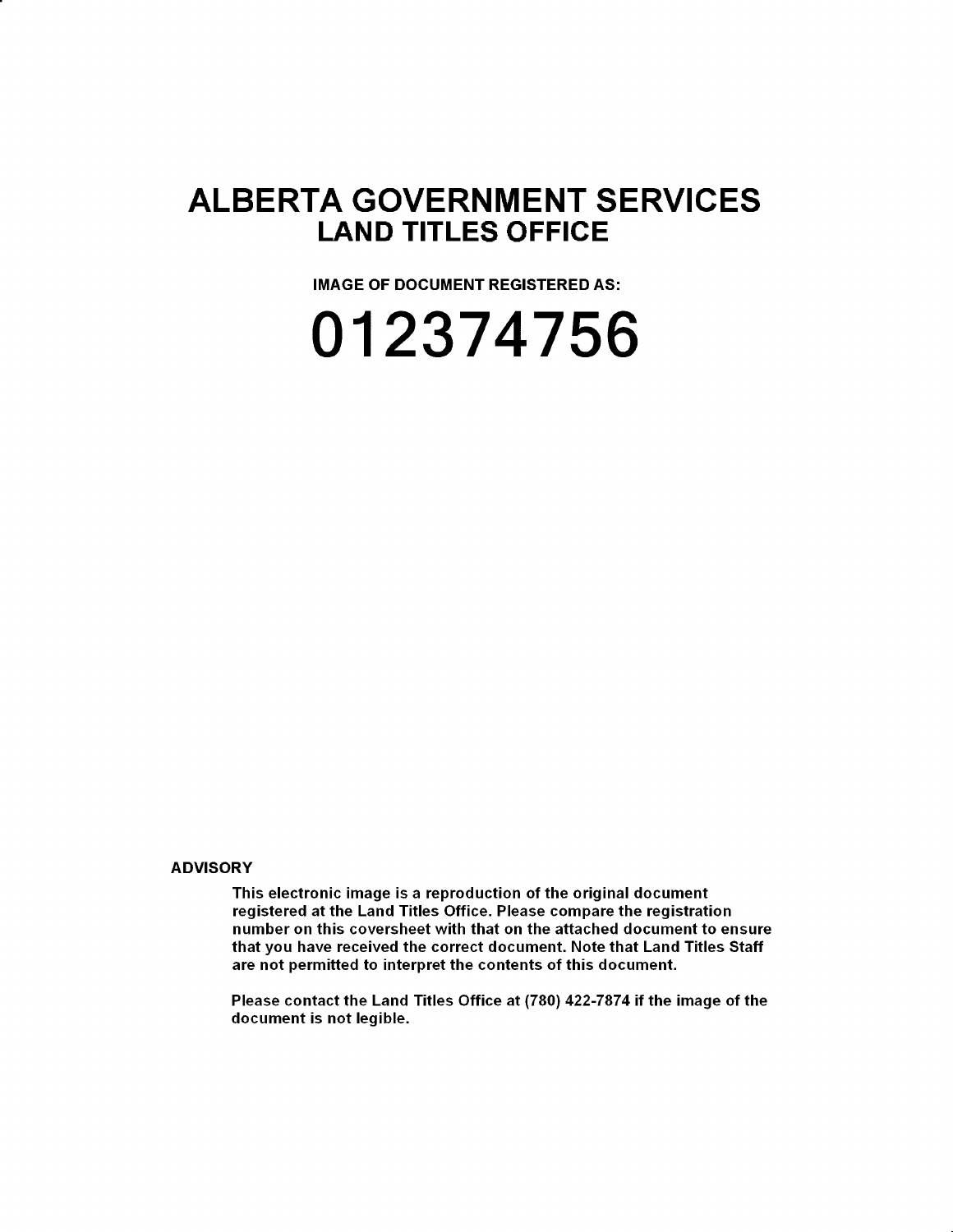# **ALBERTA GOVERNMENT SERVICES LAND TITLES OFFICE**

**IMAGE OF DOCUMENT REGISTERED AS:** 

**012374756** 

**ADVISORY** 

This electronic image is a reproduction of the original document registered at the Land Titles Office. Please compare the registration number on this coversheet with that on the attached document to ensure that you have received the correct document. Note that Land Titles Staff are not permitted to interpret the contents of this document.

Please contact the Land Titles Office at (780) 422-7874 if the image of the document is not legible.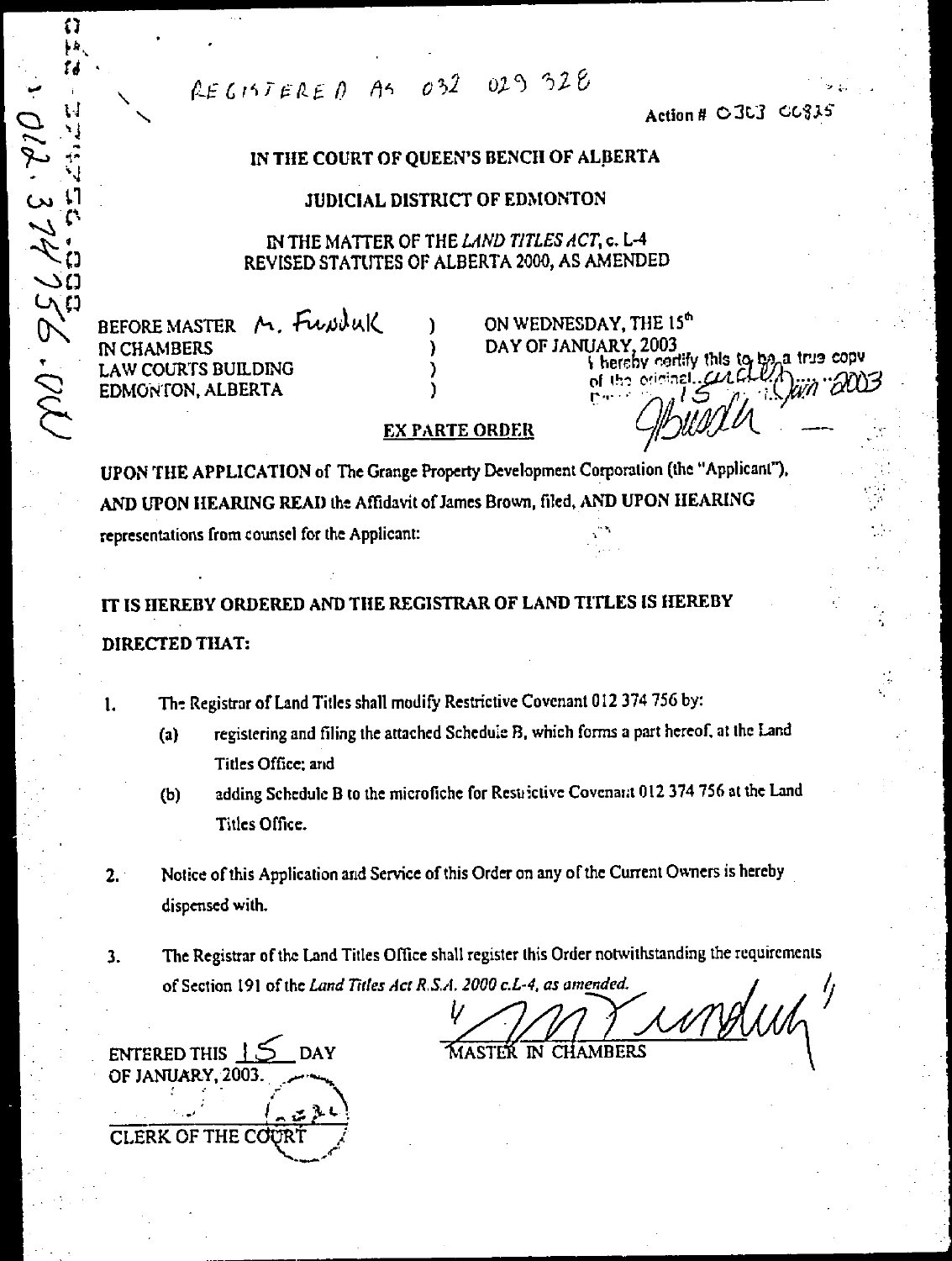REGISTERED AS 032 029 328

Action # 0303 00835

## IN THE COURT OF QUEEN'S BENCH OF ALBERTA

#### **JUDICIAL DISTRICT OF EDMONTON**

IN THE MATTER OF THE LAND TITLES ACT, c. L-4 REVISED STATUTES OF ALBERTA 2000, AS AMENDED

BEFORE MASTER M. FUNNUK **IN CHAMBERS LAW COURTS BUILDING** EDMONTON, ALBERTA

ON WEDNESDAY, THE 15<sup>th</sup> DAY OF JANUARY, 2003 I hereby certify this to be a true copy of the original  $. \alpha \alpha$ 

#### **EX PARTE ORDER**

UPON THE APPLICATION of The Grange Property Development Corporation (the "Applicant"). AND UPON HEARING READ the Affidavit of James Brown, filed, AND UPON HEARING representations from counsel for the Applicant:

IT IS HEREBY ORDERED AND THE REGISTRAR OF LAND TITLES IS HEREBY DIRECTED THAT:

The Registrar of Land Titles shall modify Restrictive Covenant 012 374 756 by: 1.

- registering and filing the attached Schedule B, which forms a part hereof, at the Land  $\left( a\right)$ Titles Office; and
- adding Schedule B to the microfiche for Restrictive Covenant 012 374 756 at the Land  $(b)$ Titles Office.
- Notice of this Application and Service of this Order on any of the Current Owners is hereby  $2.1$ dispensed with.
- The Registrar of the Land Titles Office shall register this Order notwithstanding the requirements  $\overline{\mathbf{3}}$ . of Section 191 of the Land Titles Act R.S.A. 2000 c.L-4, as amended.

MASTER IN CHAMBERS



11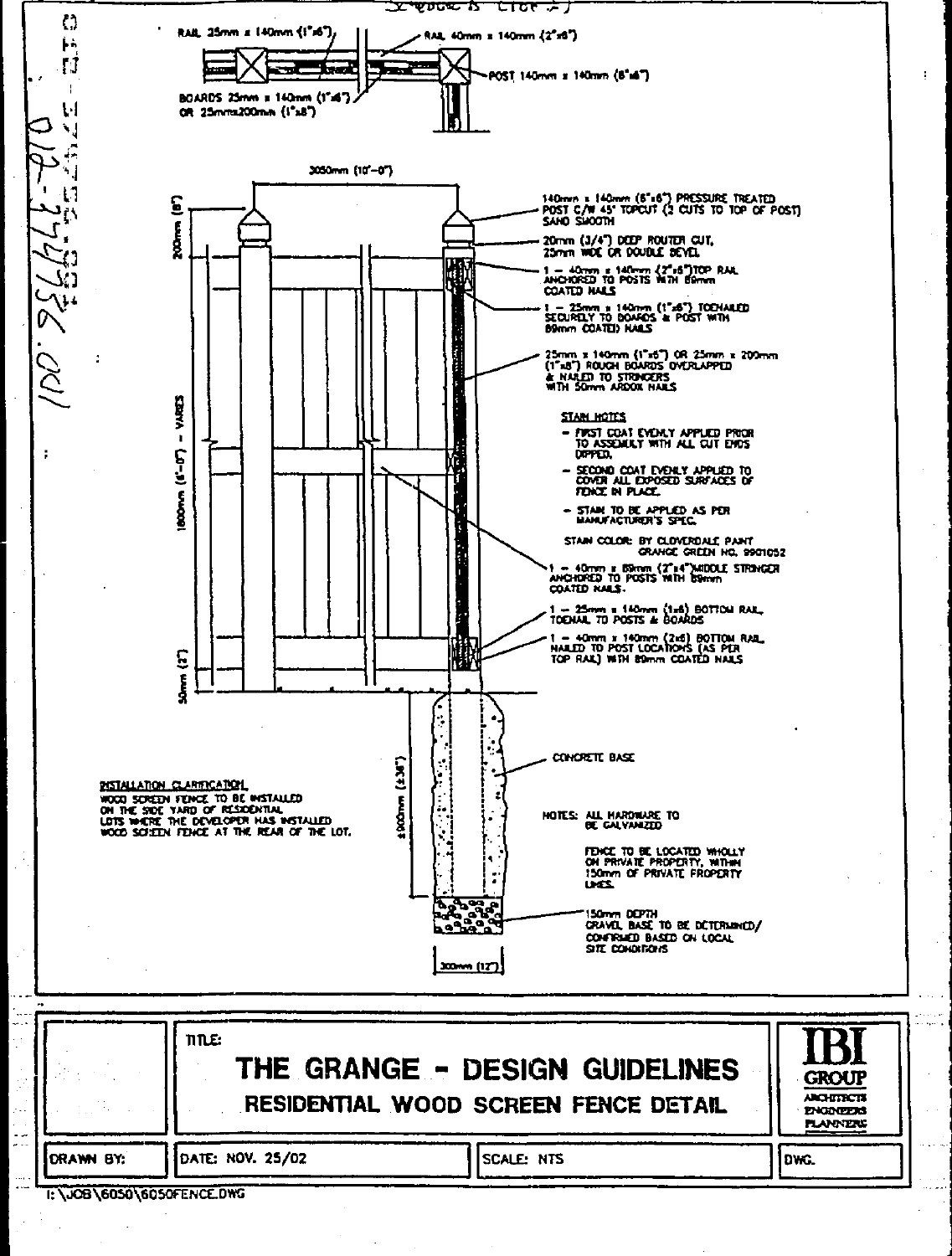

|           | TITLE:           | THE GRANGE - DESIGN GUIDELINES<br>RESIDENTIAL WOOD SCREEN FENCE DETAIL | <b>IBI</b><br><b>GROUP</b><br><b>ARCHITECTS</b><br><b>ENGINEERS</b><br><b>PLANNERS</b> |
|-----------|------------------|------------------------------------------------------------------------|----------------------------------------------------------------------------------------|
| DRAWN BY: | DATE: NOV. 25/02 | SCALE: NTS                                                             | lows.                                                                                  |

والمنبة

I: \JOB\6050\6050FENCE.DWG

k.  $\sim$  ÷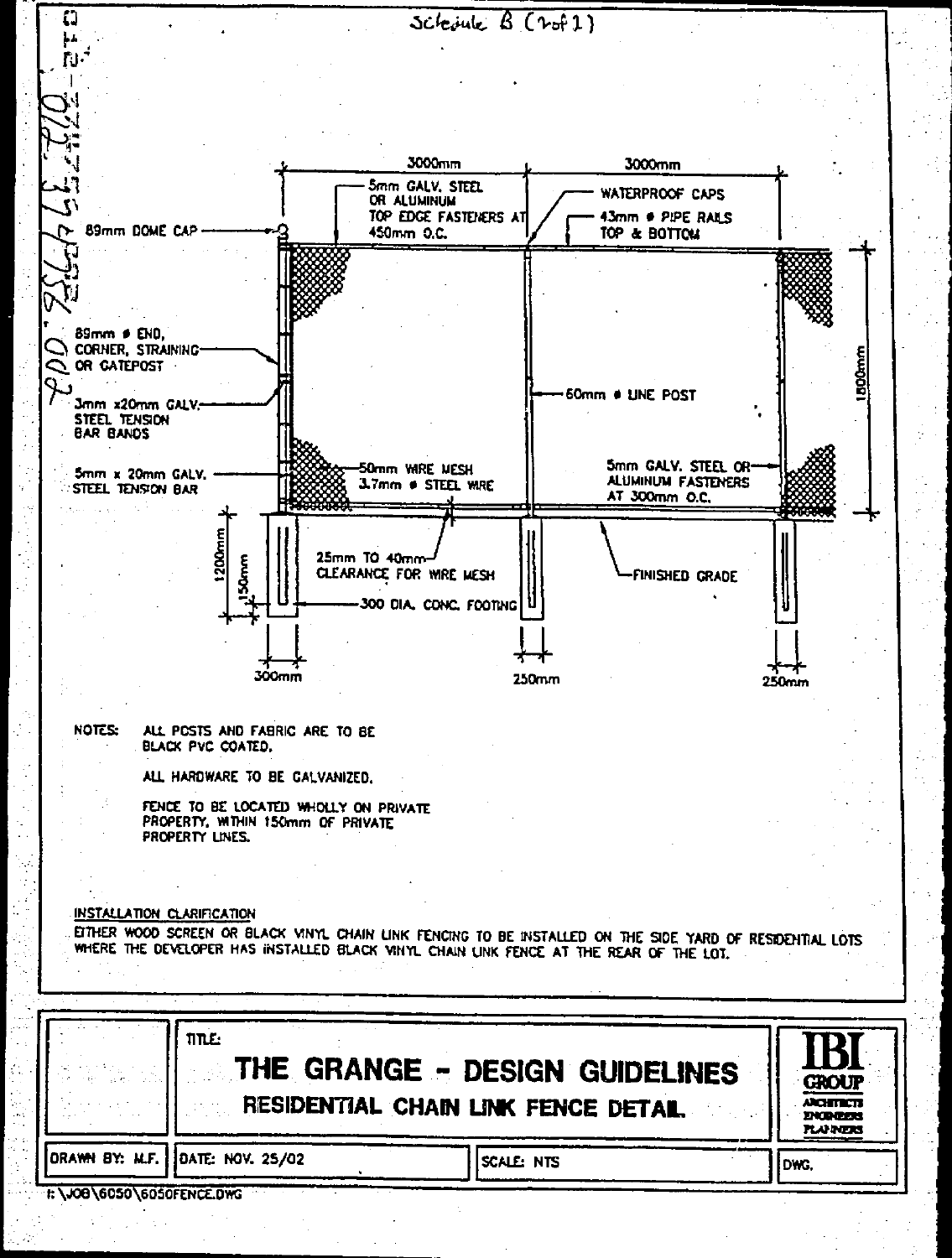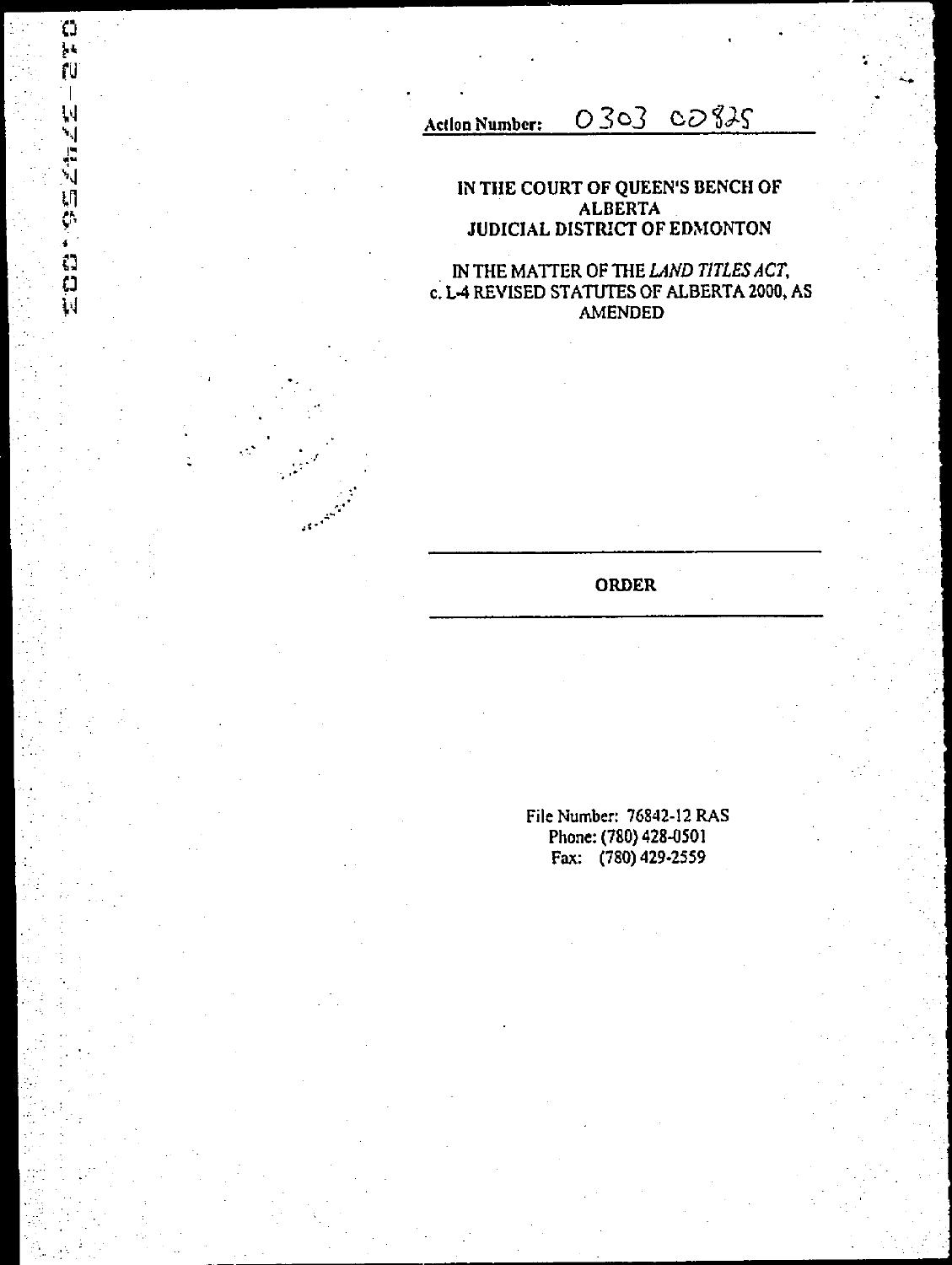Action Number: 0303 cos35

 $\mathbb{C}$ **<sup>1</sup>•k**  ru

 $\overline{\phantom{a}}$ 

ׇ֘֒֩׆֧֧֞֜֝֜֜<mark>֚</mark>

 $\cdots$ 

Cl

 $\ddot{e}$ 

### **IN THE COURT OF QUEEN'S BENCH OF ALBERTA . JUDICIAL DISTRICT OF EDMONTON**

**IN THE MATTER OF THE** *LAND TITLES ACT,*  **c. L-4 REVISED STATUTES OF ALBERTA 2000, AS AMENDED** 

**ORDER** 

**File Number: 76842-12 RAS Phone: (780) 428-0501 Fax: (780) 429.2559**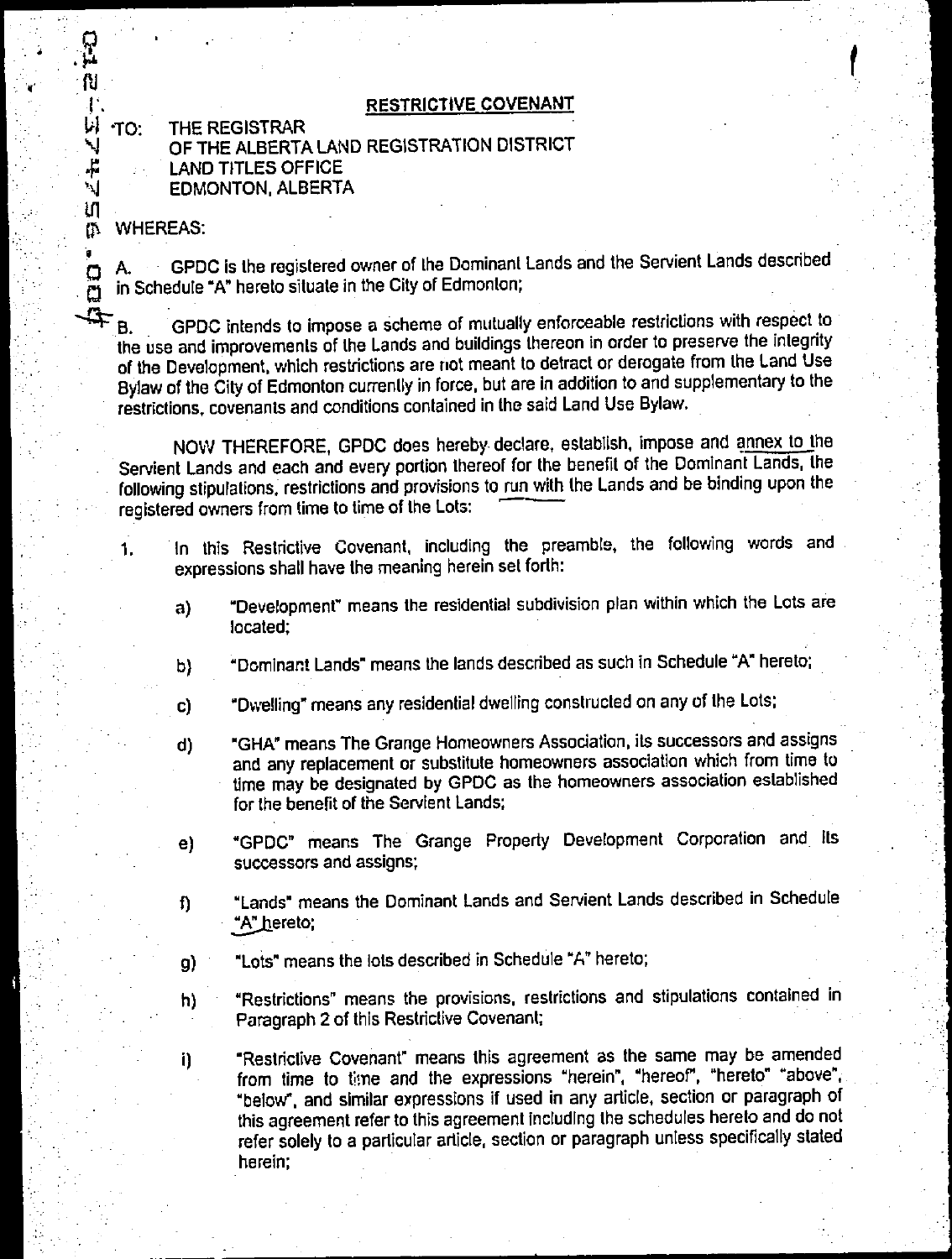## 1., **RESTRICTIVE COVENANT**

GRANDS **THE REGISTRAR OF THE ALBERTA LAND REGISTRATION DISTRICT LAND TITLES OFFICE EDMONTON, ALBERTA** 

0% **WHEREAS:** 

o

 $\Box$  $\mathbf{\Omega}$ 

រោ

ÌΝ.

**A. GPDC is the registered owner of the Dominant Lands and the Servient Lands described in Schedule "A" hereto situate in the City of Edmonton;** 

 $4P_{B}$ GPDC intends to impose a scheme of mutually enforceable restrictions with respect to **the use and improvements of the Lands and buildings thereon in order to preserve the integrity of the Development, which restrictions are riot meant to detract or derogate from the Land Use Bylaw of the City of Edmonton currently in force, but are in addition to and supplementary to the restrictions, covenants and conditions contained in the said Land Use Bylaw.** 

**NOW THEREFORE, GPDC does hereby declare, establish, impose and annex to the Servient Lands and each and every portion thereof for the benefit of the Dominant Lands, the following stipulations, restrictions and provisions to run with the Lands and be binding upon the**  registered owners from time to time of the Lots:

- **1. In this Restrictive Covenant, including the preamble, the following words and expressions shall have the meaning herein set forth:** 
	- **a) "Development" means the residential subdivision plan within which the Lots are located;**
	- **b) "Dominant Lands" means the lands described as such in Schedule "A" hereto;**
	- **c) "Dwelling" means any residential dwelling constructed on any of the Lots;**
	- **d) "GHA" means The Grange Homeowners Association, its successors and assigns and any replacement or substitute homeowners association which from time to time may be designated by GPDC as the homeowners association established for the benefit of the Servient Lands;**
	- **e) "GPDC" means The Grange Property Development Corporation and its successors and assigns;**
	- **"Lands" means the Dominant Lands and Servient Lands described in Schedule**   $\mathbf{u}$ **<sup>\*</sup>A<sup>\*</sup> hereto;**
	- **g) "Lots" means the lots described in Schedule "A" hereto;**
	- **h) "Restrictions" means the provisions, restrictions and stipulations contained in Paragraph 2 of this Restrictive Covenant;**

**i) "Restrictive Covenant" means this agreement as the same may be amended**  from time to time and the expressions "herein", "hereof", "hereto" "above", **"below", and similar expressions if used in any article, section or paragraph of this agreement refer to this agreement including the schedules hereto and do not refer solely to a particular article, section or paragraph unless specifically stated herein;**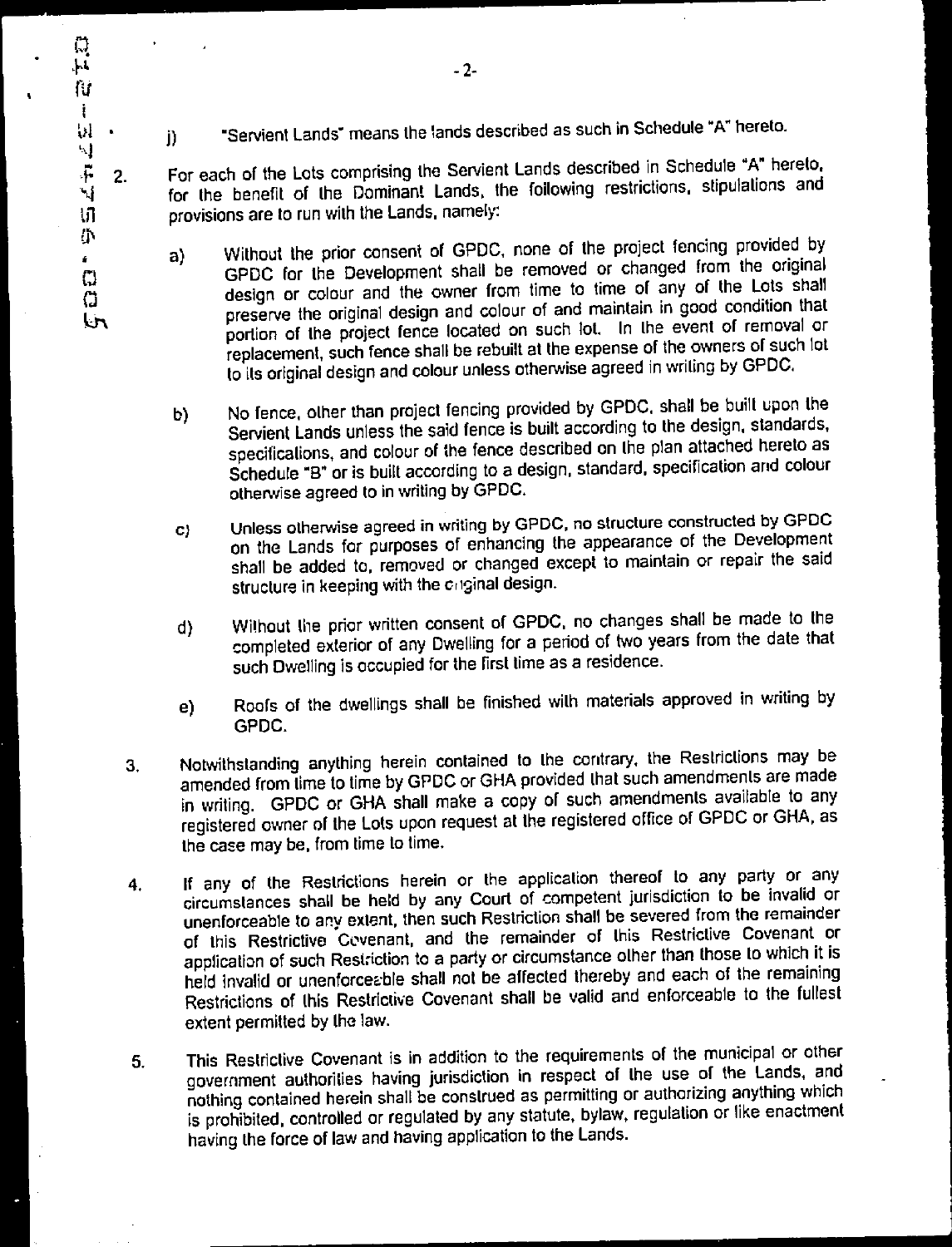- j) -Servient Lands<sup>-</sup> means the lands described as such in Schedule "A" hereto.
- 2. For each of the Lots comprising the Servient Lands described in Schedule "A" hereto, for the benefit of the Dominant Lands, the foilowing restrictions, stipulations and til provisions are to run with the Lands, namely:
	- a) Without the prior consent of GPDC, none of the project fencing provided by GPDC For the Development shall be removed or changed from the original design or colour and the owner from time to time of any of the Lots shall preserve the original design and colour of and maintain in good condition that portion of the project fence located on such lot. In the event of removal or replacement, such fence shall be rebuilt at the expense of the owners of such lot to its original design and colour unless otherwise agreed in writing by GPDC.
	- b) No fence, other than project fencing provided by GPDC, shall be built upon the Servient Lands unless the said fence is built according to the design, standards, specifications, and colour of the fence described on the plan attached hereto as Schedule "B" or is built according to a design, standard, specification and colour otherwise agreed to in writing by GPDC.
	- **c) Unless otherwise agreed** in **writing by GPDC, no structure constructed by GPDC**  on the Lands for purposes of enhancing the appearance of the Development shall be added to, removed or changed except to maintain or repair the said structure in keeping with the criginal design.
	- d) Without the prior written consent of GPDC, no changes shall be made to the completed exterior of any Dwelling for a period of two years from the date that such Dwelling is occupied for the first time as a residence.
	- e) Roofs of the dwellings shall be finished with materials approved in writing by GPDC.
	- 3. Notwithstanding anything herein contained to the contrary, the Restrictions may be amended from time to time by GPDC or GHA provided that such amendments are made in writing. GPDC or GHA shall make a copy of such amendments available to any registered owner of the Lots upon request at the registered office of GPDC or GHA, as the case may be, from time to time.
	- 4. If any of the Restrictions herein or the application thereof to any party or any circumstances shall be held by any Court of competent jurisdiction to be invalid or unenforceable to any extent, then such Restriction shall be severed from the remainder of this Restrictive Covenant, and the remainder of this Restrictive Covenant or application of such Restriction to a party or circumstance other than those to which it is held invalid or unenforceable shall not be affected thereby and each of the remaining Restrictions of this Restrictive Covenant shall be valid and enforceable to the fullest extent permitted by the law.
	- 5. This Restrictive Covenant is in addition to the requirements of the municipal or other government authorities having jurisdiction in respect of the use of the Lands, and nothing contained **herein shall** be construed as permitting or authorizing anything which is prohibited, controlled or regulated by any statute, bylaw, regulation or like enactment having the force of law and having application to the Lands.

្ម  $\mathbf{h}$ ſΰ Ť W 4  $\ddot{\phantom{1}}$ ኑነ

> ij.  $\mathbf{f}$  $\mathbb{C}$  $\Omega$ **Lin**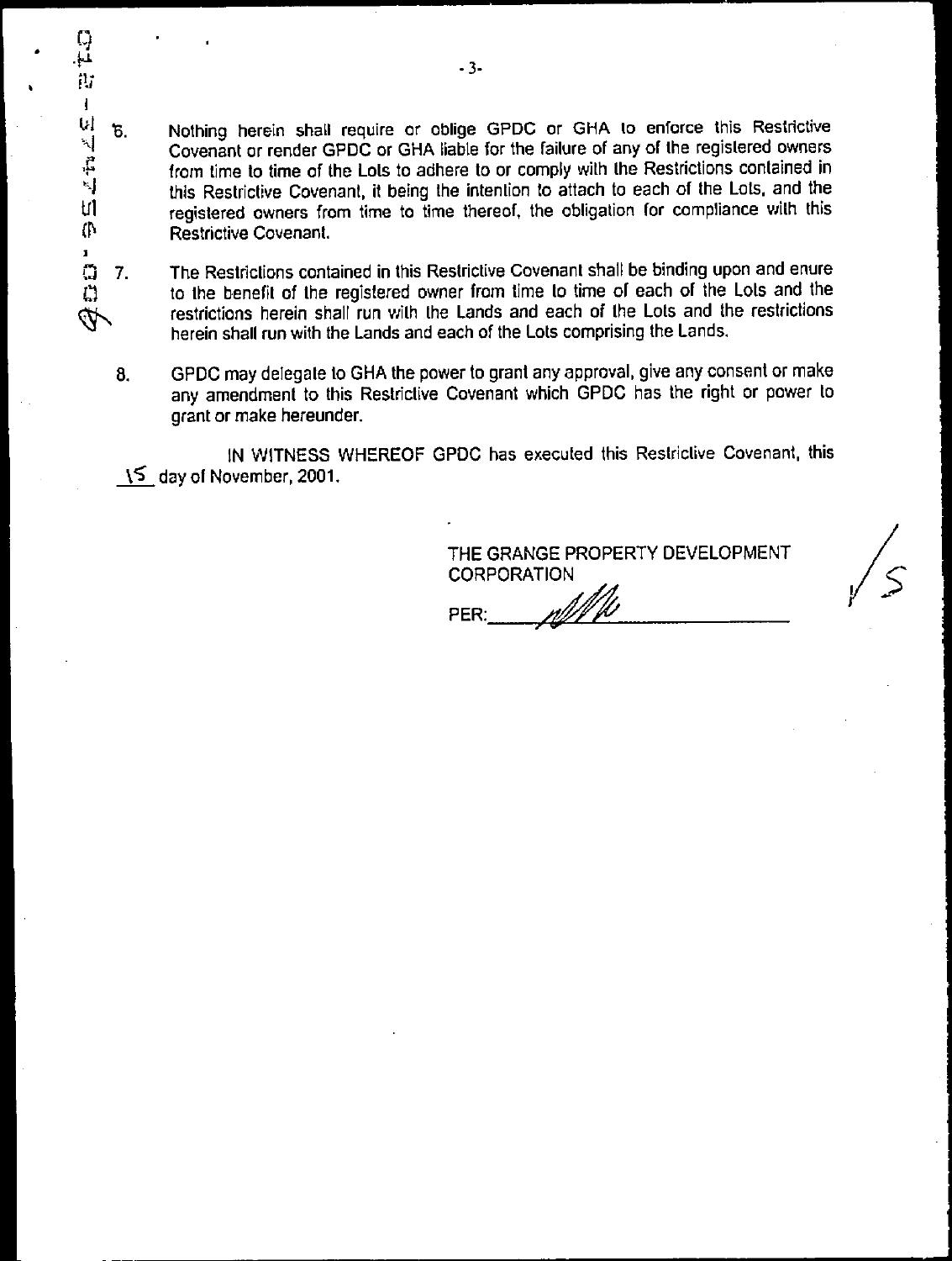$W = 5$ . Nothing herein shall require or oblige GPDC or GHA to enforce this Restrictive Covenant or render GPDC or GHA liable for the failure of any of the registered owners Covenant or render GPDC or GHA liable for the failure of any of the registered owners from time to time of the Lots to adhere to or comply with the Restrictions contained in this Restrictive Covenant, it being the intention to attach to each of the Lots, and the registered owners from time to time thereof, the obligation for compliance with this (P Restrictive Covenant.

P.3 7. The Restrictions contained in this Restrictive Covenant shall be binding upon and enure to the benefit of the registered owner from time to time of each of the Lots and the restrictions herein shall run with the Lands and each of the Lots and the restrictions Ź herein shall run with the Lands and each of the Lots comprising the Lands.

8. GPDC may delegate to GHA the power to grant any approval, give any consent or make any amendment to this Restrictive Covenant which GPDC has the right or power to grant or make hereunder.

IN WITNESS WHEREOF GPDC has executed this Restrictive Covenant, this l5 day of November, 2001.

> THE GRANGE PROPERTY DEVELOPMENT **CORPORATION**

r//// PER:

្យ<br>រ

市  $\mathbf{I}$ 

 $\ddot{t}$ 

trl

ı.

 $\Box$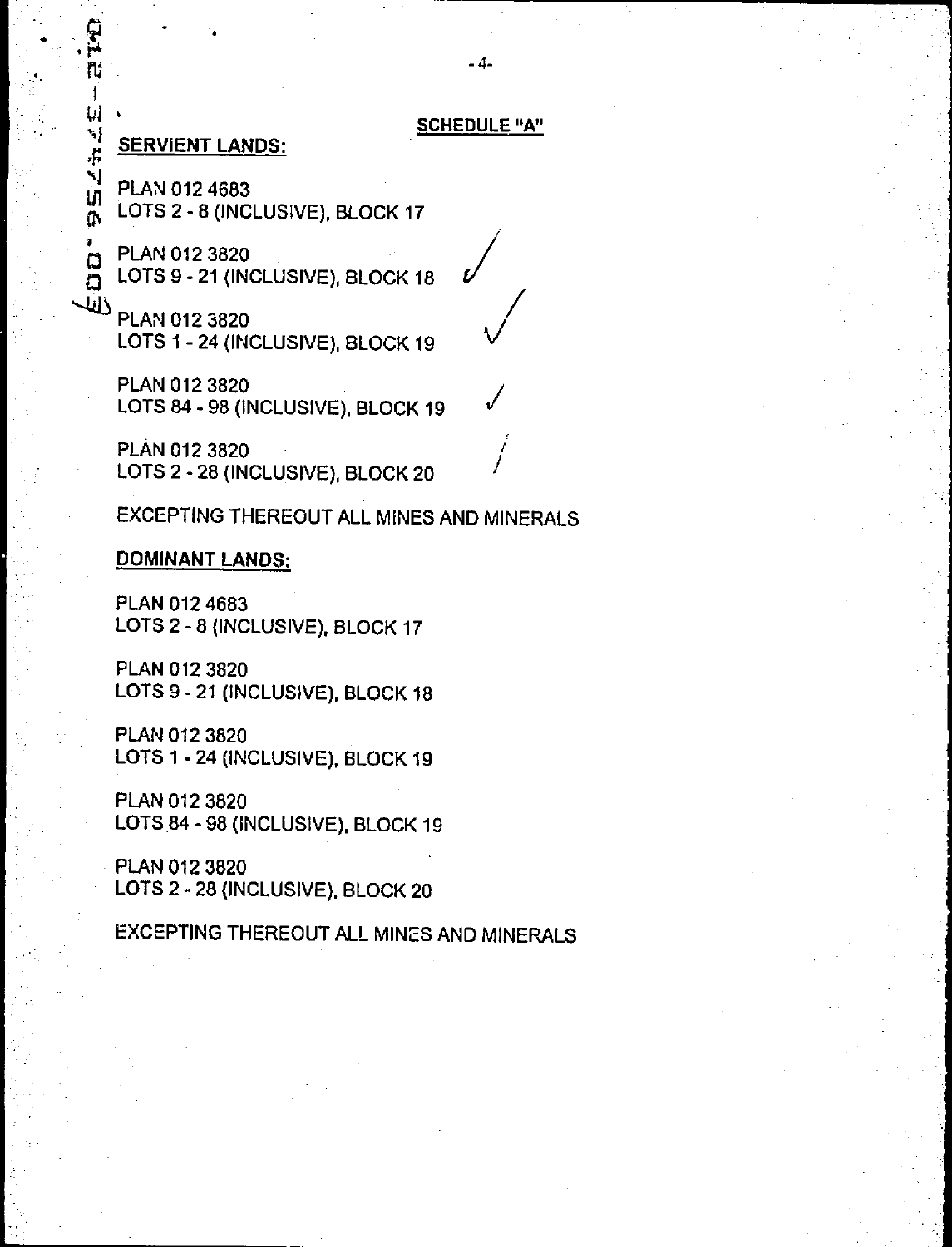#### **SCHEDULE"A"**

 $\bigvee$ 

jI

**SERVIENT LANDS:** 

<u>भू</u> ru

J Ы ۰. [

**'l'** 

**"** 

**In PLAN 012 4683 at LOTS 2 - 8 (INCLUSIVE), BLOCK 17** 

**<sup>0</sup>0 PLAN 012 3820 A** LOTS 9 - 21 (INCLUSIVE), BLOCK 18

**PLAN 012 3820 LOTS 1 - 24 (INCLUSIVE), BLOCK 19** 

> **PLAN 012 3820 LOTS 84 - 98 (INCLUSIVE), BLOCK 19**

**PLAN 012 3820 LOTS 2 - 28 (INCLUSIVE), BLOCK 20** 

**EXCEPTING THEREOUT ALL MINES AND MINERALS** 

#### **DOMINANT LANDS:**

**PLAN 012 4683 LOTS 2 - 8 (INCLUSIVE). BLOCK 17** 

**PLAN 012 3820 LOTS 9 - 21 (INCLUSIVE), BLOCK 18** 

**PLAN 012 3820 LOTS 1 - 24 (INCLUSIVE), BLOCK 19** 

**PLAN 012 3820 LOTS 84 - 98 (INCLUSIVE), BLOCK 19** 

**PLAN 012 3820 LOTS 2 - 28 (INCLUSIVE). BLOCK 20** 

**EXCEPTING THEREOUT ALL MINES AND MINERALS**